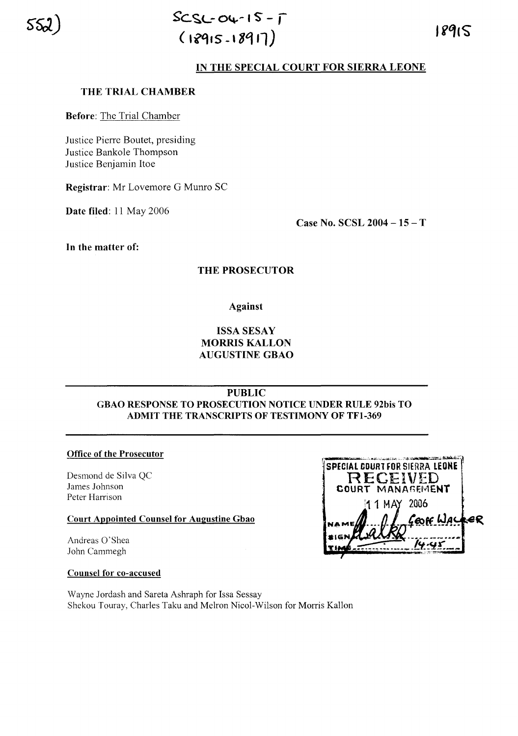

## **IN THE SPECIAL COURT FOR SIERRA LEONE**

### **THE TRIAL CHAMBER**

**Before:** The Trial Chamber

Justice Pierre Boutet, presiding Justice Bankole Thompson Justice Benjamin ltoe

**Registrar:** Mr Lovemore G Munro SC

**Date filed:** 11 May 2006

**Case No. SCSL 2004 -15** - T

**In the matter of:**

## **THE PROSECUTOR**

**Against**

# **ISSA SESAY MORRIS KALLON AUGUSTINE GBAO**

**PUBLIC**

**GBAO RESPONSE TO PROSECUTION NOTICE UNDER RULE 92bis TO ADMIT THE TRANSCRIPTS OF TESTIMONY OF TFl-369**

### **Office of the Prosecutor**

Desmond de Silva QC James Johnson Peter Harrison

### **Court Appointed Counsel for Augustine Gbao**

Andreas 0'Shea John Cammegh

SPECIAL COURT FOR SIERRA LEONE RECEIVED COURT MANAGEMENT 11 MAY 2006 eR EOFF WAY

### **Counsel for co-accused**

Wayne Jordash and Sareta Ashraph for Issa Sessay Shekou Touray, Charles Taku and Melron Nicol-Wilson for Morris Kallon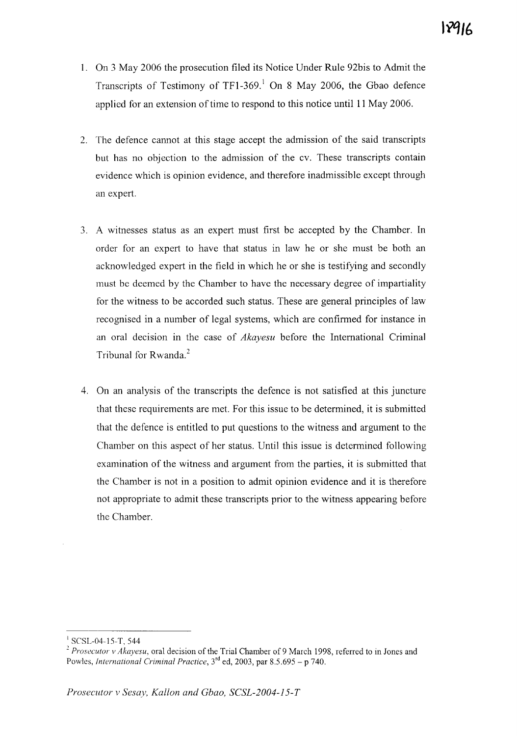- 1. On 3 May 2006 the prosecution filed its Notice Under Rule 92bis to Admit the Transcripts of Testimony of TF1-369.<sup>1</sup> On 8 May 2006, the Gbao defence applied for an extension of time to respond to this notice until 11 May 2006.
- 2. The defence cannot at this stage accept the admission of the said transcripts but has no objection to the admission of the cv. These transcripts contain evidence which is opinion evidence, and therefore inadmissible except through an expert.
- 3. A witnesses status as an expert must first be accepted by the Chamber. In order for an expert to have that status in law he or she must be both an acknowledged expert in the field in which he or she is testifying and secondly must be deemed by the Chamber to have the necessary degree of impartiality for the witness to be accorded such status. These are general principles of law recognised in a number of legal systems, which are confirmed for instance in an oral decision in the case of *Akayesu* before the International Criminal Tribunal for Rwanda. $2$
- 4. On an analysis of the transcripts the defence is not satisfied at this juncture that these requirements are met. For this issue to be determined, it is submitted that the defence is entitled to put questions to the witness and argument to the Chamber on this aspect of her status. Until this issue is determined following examination of the witness and argument from the parties, it is submitted that the Chamber is not in a position to admit opinion evidence and it is therefore not appropriate to admit these transcripts prior to the witness appearing before the Chamber.

<sup>&</sup>lt;sup>1</sup> SCSL-04-15-T, 544

*<sup>2</sup> Prosecutor v Akayesu,* oral decision of the Trial Chamber of 9 March 1998, referred to in Jones and Powles, *International Criminal Practice,* 3rd ed, 2003, par 8.5.695 - p 740.